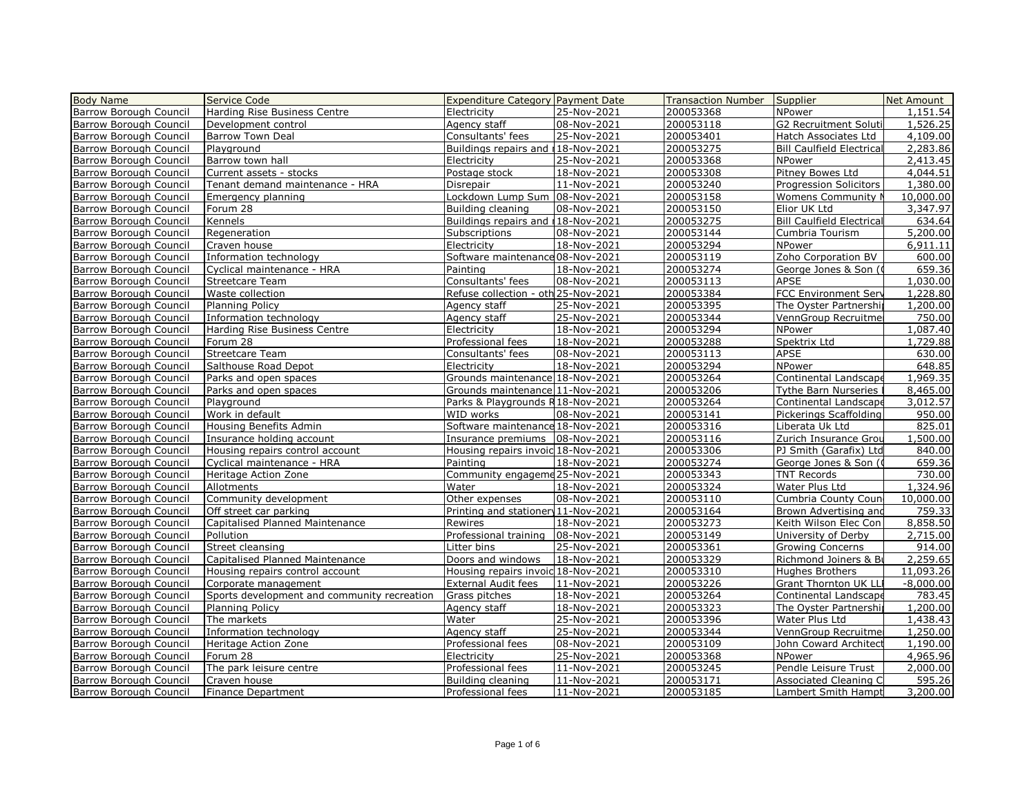| <b>Body Name</b>              | <b>Service Code</b>                         | <b>Expenditure Category Payment Date</b> |             | <b>Transaction Number</b> | Supplier                         | Net Amount  |
|-------------------------------|---------------------------------------------|------------------------------------------|-------------|---------------------------|----------------------------------|-------------|
| Barrow Borough Council        | Harding Rise Business Centre                | Electricity                              | 25-Nov-2021 | 200053368                 | NPower                           | 1,151.54    |
| Barrow Borough Council        | Development control                         | Agency staff                             | 08-Nov-2021 | 200053118                 | <b>G2 Recruitment Soluti</b>     | 1,526.25    |
| Barrow Borough Council        | <b>Barrow Town Deal</b>                     | Consultants' fees                        | 25-Nov-2021 | 200053401                 | Hatch Associates Ltd             | 4,109.00    |
| <b>Barrow Borough Council</b> | Plavaround                                  | Buildings repairs and 18-Nov-2021        |             | 200053275                 | <b>Bill Caulfield Electrical</b> | 2,283.86    |
| Barrow Borough Council        | Barrow town hall                            | Electricity                              | 25-Nov-2021 | 200053368                 | <b>NPower</b>                    | 2,413.45    |
| Barrow Borough Council        | Current assets - stocks                     | Postage stock                            | 18-Nov-2021 | 200053308                 | Pitney Bowes Ltd                 | 4,044.51    |
| Barrow Borough Council        | Tenant demand maintenance - HRA             | Disrepair                                | 11-Nov-2021 | 200053240                 | <b>Progression Solicitors</b>    | 1,380.00    |
| <b>Barrow Borough Council</b> | Emergency planning                          | Lockdown Lump Sum 08-Nov-2021            |             | 200053158                 | <b>Womens Community N</b>        | 10,000.00   |
| <b>Barrow Borough Council</b> | Forum 28                                    | Building cleaning                        | 08-Nov-2021 | 200053150                 | Elior UK Ltd                     | 3,347.97    |
| <b>Barrow Borough Council</b> | Kennels                                     | Buildings repairs and 18-Nov-2021        |             | 200053275                 | <b>Bill Caulfield Electrical</b> | 634.64      |
| Barrow Borough Council        | Regeneration                                | Subscriptions                            | 08-Nov-2021 | 200053144                 | Cumbria Tourism                  | 5,200.00    |
| <b>Barrow Borough Council</b> | Craven house                                | Electricity                              | 18-Nov-2021 | 200053294                 | NPower                           | 6,911.11    |
| <b>Barrow Borough Council</b> | Information technology                      | Software maintenance 08-Nov-2021         |             | 200053119                 | Zoho Corporation BV              | 600.00      |
| <b>Barrow Borough Council</b> | Cyclical maintenance - HRA                  | Painting                                 | 18-Nov-2021 | 200053274                 | George Jones & Son (0            | 659.36      |
| <b>Barrow Borough Council</b> | <b>Streetcare Team</b>                      | Consultants' fees                        | 08-Nov-2021 | 200053113                 | APSE                             | 1,030.00    |
| <b>Barrow Borough Council</b> | Waste collection                            | Refuse collection - oth 25-Nov-2021      |             | 200053384                 | FCC Environment Serv             | 1,228.80    |
| <b>Barrow Borough Council</b> | <b>Planning Policy</b>                      | Agency staff                             | 25-Nov-2021 | 200053395                 | The Oyster Partnershij           | 1,200.00    |
| Barrow Borough Council        | Information technology                      | Agency staff                             | 25-Nov-2021 | 200053344                 | VennGroup Recruitmer             | 750.00      |
| Barrow Borough Council        | Harding Rise Business Centre                | Electricity                              | 18-Nov-2021 | 200053294                 | NPower                           | 1,087.40    |
| Barrow Borough Council        | Forum 28                                    | Professional fees                        | 18-Nov-2021 | 200053288                 | Spektrix Ltd                     | 1,729.88    |
| Barrow Borough Council        | <b>Streetcare Team</b>                      | Consultants' fees                        | 08-Nov-2021 | 200053113                 | APSE                             | 630.00      |
| <b>Barrow Borough Council</b> | Salthouse Road Depot                        | Electricity                              | 18-Nov-2021 | 200053294                 | NPower                           | 648.85      |
| Barrow Borough Council        | Parks and open spaces                       | Grounds maintenance 18-Nov-2021          |             | 200053264                 | Continental Landscape            | 1,969.35    |
| Barrow Borough Council        | Parks and open spaces                       | Grounds maintenance 11-Nov-2021          |             | 200053206                 | Tythe Barn Nurseries             | 8,465.00    |
| <b>Barrow Borough Council</b> | Playground                                  | Parks & Playgrounds R18-Nov-2021         |             | 200053264                 | Continental Landscape            | 3,012.57    |
| Barrow Borough Council        | Work in default                             | WID works                                | 08-Nov-2021 | 200053141                 | Pickerings Scaffolding           | 950.00      |
| Barrow Borough Council        | Housing Benefits Admin                      | Software maintenance 18-Nov-2021         |             | 200053316                 | Liberata Uk Ltd                  | 825.01      |
| Barrow Borough Council        | Insurance holding account                   | Insurance premiums                       | 08-Nov-2021 | 200053116                 | Zurich Insurance Grou            | 1,500.00    |
| <b>Barrow Borough Council</b> | Housing repairs control account             | Housing repairs invoic 18-Nov-2021       |             | 200053306                 | PJ Smith (Garafix) Ltd           | 840.00      |
| Barrow Borough Council        | Cyclical maintenance - HRA                  | Painting                                 | 18-Nov-2021 | 200053274                 | George Jones & Son (0            | 659.36      |
| <b>Barrow Borough Council</b> | Heritage Action Zone                        | Community engageme 25-Nov-2021           |             | 200053343                 | <b>TNT Records</b>               | 730.00      |
| Barrow Borough Council        | Allotments                                  | Water                                    | 18-Nov-2021 | 200053324                 | Water Plus Ltd                   | 1,324.96    |
| <b>Barrow Borough Council</b> | Community development                       | Other expenses                           | 08-Nov-2021 | 200053110                 | Cumbria County Coun              | 10,000.00   |
| Barrow Borough Council        | Off street car parking                      | Printing and stationery 11-Nov-2021      |             | 200053164                 | Brown Advertising and            | 759.33      |
| <b>Barrow Borough Council</b> | Capitalised Planned Maintenance             | Rewires                                  | 18-Nov-2021 | 200053273                 | Keith Wilson Elec Con            | 8,858.50    |
| Barrow Borough Council        | Pollution                                   | Professional training                    | 08-Nov-2021 | 200053149                 | University of Derby              | 2,715.00    |
| <b>Barrow Borough Council</b> | Street cleansing                            | Litter bins                              | 25-Nov-2021 | 200053361                 | <b>Growing Concerns</b>          | 914.00      |
| Barrow Borough Council        | Capitalised Planned Maintenance             | Doors and windows                        | 18-Nov-2021 | 200053329                 | Richmond Joiners & Bu            | 2,259.65    |
| <b>Barrow Borough Council</b> | Housing repairs control account             | Housing repairs invoic 18-Nov-2021       |             | 200053310                 | <b>Hughes Brothers</b>           | 11,093.26   |
| Barrow Borough Council        | Corporate management                        | <b>External Audit fees</b>               | 11-Nov-2021 | 200053226                 | Grant Thornton UK LLI            | $-8,000.00$ |
| Barrow Borough Council        | Sports development and community recreation | Grass pitches                            | 18-Nov-2021 | 200053264                 | Continental Landscape            | 783.45      |
| <b>Barrow Borough Council</b> | <b>Planning Policy</b>                      | Agency staff                             | 18-Nov-2021 | 200053323                 | The Oyster Partnershij           | 1,200.00    |
| <b>Barrow Borough Council</b> | The markets                                 | Water                                    | 25-Nov-2021 | 200053396                 | Water Plus Ltd                   | 1,438.43    |
| Barrow Borough Council        | Information technology                      | Agency staff                             | 25-Nov-2021 | 200053344                 | VennGroup Recruitmel             | 1,250.00    |
| Barrow Borough Council        | Heritage Action Zone                        | Professional fees                        | 08-Nov-2021 | 200053109                 | John Coward Architect            | 1,190.00    |
| Barrow Borough Council        | Forum 28                                    | Electricity                              | 25-Nov-2021 | 200053368                 | NPower                           | 4,965.96    |
| <b>Barrow Borough Council</b> | The park leisure centre                     | Professional fees                        | 11-Nov-2021 | 200053245                 | Pendle Leisure Trust             | 2,000.00    |
| <b>Barrow Borough Council</b> | Craven house                                | Building cleaning                        | 11-Nov-2021 | 200053171                 | Associated Cleaning C            | 595.26      |
| <b>Barrow Borough Council</b> | Finance Department                          | Professional fees                        | 11-Nov-2021 | 200053185                 | Lambert Smith Hampt              | 3,200.00    |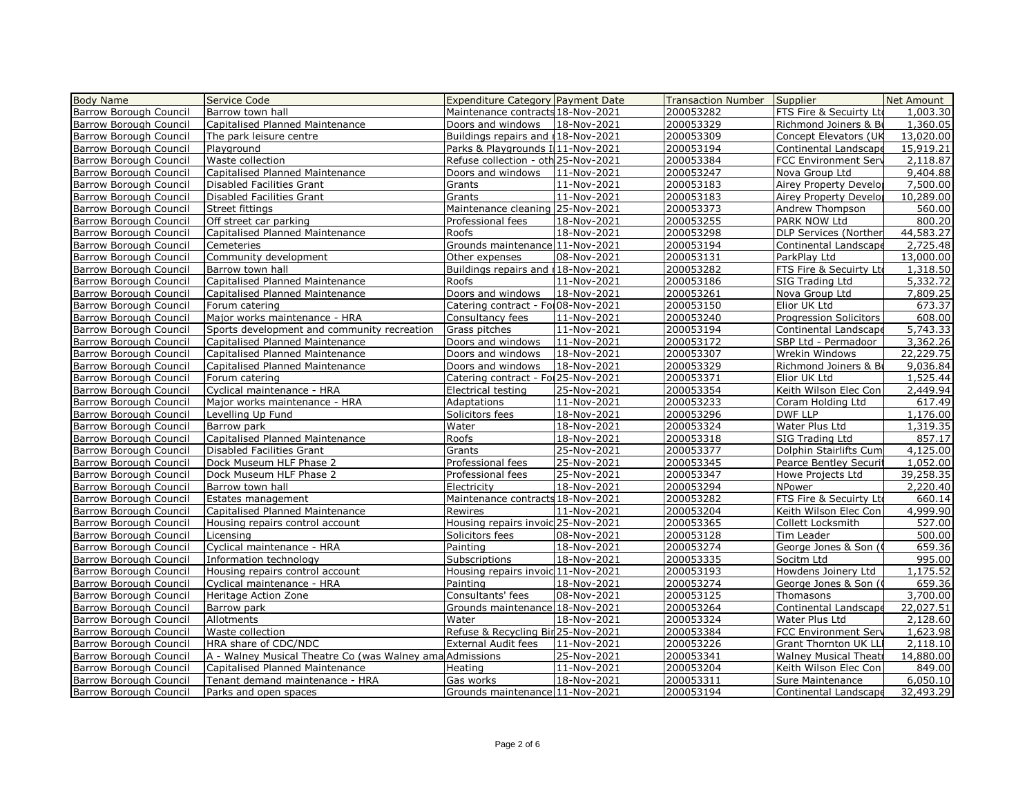| <b>Body Name</b>              | Service Code                                             | <b>Expenditure Category Payment Date</b> |             | Transaction Number | Supplier                      | Net Amount |
|-------------------------------|----------------------------------------------------------|------------------------------------------|-------------|--------------------|-------------------------------|------------|
| Barrow Borough Council        | Barrow town hall                                         | Maintenance contracts 18-Nov-2021        |             | 200053282          | FTS Fire & Secuirty Ltd       | 1,003.30   |
| Barrow Borough Council        | Capitalised Planned Maintenance                          | Doors and windows                        | 18-Nov-2021 | 200053329          | Richmond Joiners & Bu         | 1,360.05   |
| Barrow Borough Council        | The park leisure centre                                  | Buildings repairs and 118-Nov-2021       |             | 200053309          | Concept Elevators (UK         | 13,020.00  |
| Barrow Borough Council        | Playground                                               | Parks & Playgrounds II11-Nov-2021        |             | 200053194          | Continental Landscape         | 15,919.21  |
| <b>Barrow Borough Council</b> | Waste collection                                         | Refuse collection - oth 25-Nov-2021      |             | 200053384          | <b>FCC Environment Serv</b>   | 2,118.87   |
| Barrow Borough Council        | Capitalised Planned Maintenance                          | Doors and windows                        | 11-Nov-2021 | 200053247          | Nova Group Ltd                | 9,404.88   |
| Barrow Borough Council        | Disabled Facilities Grant                                | Grants                                   | 11-Nov-2021 | 200053183          | Airey Property Develop        | 7,500.00   |
| Barrow Borough Council        | Disabled Facilities Grant                                | Grants                                   | 11-Nov-2021 | 200053183          | Airey Property Develor        | 10,289.00  |
| <b>Barrow Borough Council</b> | Street fittings                                          | Maintenance cleaning 25-Nov-2021         |             | 200053373          | Andrew Thompson               | 560.00     |
| Barrow Borough Council        | Off street car parking                                   | Professional fees                        | 18-Nov-2021 | 200053255          | PARK NOW Ltd                  | 800.20     |
| <b>Barrow Borough Council</b> | Capitalised Planned Maintenance                          | Roofs                                    | 18-Nov-2021 | 200053298          | <b>DLP Services (Norther</b>  | 44,583,27  |
| Barrow Borough Council        | Cemeteries                                               | Grounds maintenance 11-Nov-2021          |             | 200053194          | Continental Landscape         | 2,725.48   |
| <b>Barrow Borough Council</b> | Community development                                    | Other expenses                           | 08-Nov-2021 | 200053131          | ParkPlay Ltd                  | 13,000.00  |
| Barrow Borough Council        | Barrow town hall                                         | Buildings repairs and 118-Nov-2021       |             | 200053282          | FTS Fire & Secuirty Ltd       | 1,318.50   |
| <b>Barrow Borough Council</b> | Capitalised Planned Maintenance                          | Roofs                                    | 11-Nov-2021 | 200053186          | SIG Trading Ltd               | 5,332.72   |
| Barrow Borough Council        | Capitalised Planned Maintenance                          | Doors and windows                        | 18-Nov-2021 | 200053261          | Nova Group Ltd                | 7,809.25   |
| <b>Barrow Borough Council</b> | Forum catering                                           | Catering contract - For08-Nov-2021       |             | 200053150          | Elior UK Ltd                  | 673.37     |
| Barrow Borough Council        | Major works maintenance - HRA                            | Consultancy fees                         | 11-Nov-2021 | 200053240          | <b>Progression Solicitors</b> | 608.00     |
| <b>Barrow Borough Council</b> | Sports development and community recreation              | Grass pitches                            | 11-Nov-2021 | 200053194          | Continental Landscape         | 5,743.33   |
| Barrow Borough Council        | Capitalised Planned Maintenance                          | Doors and windows                        | 11-Nov-2021 | 200053172          | SBP Ltd - Permadoor           | 3,362.26   |
| Barrow Borough Council        | Capitalised Planned Maintenance                          | Doors and windows                        | 18-Nov-2021 | 200053307          | Wrekin Windows                | 22,229.75  |
| Barrow Borough Council        | Capitalised Planned Maintenance                          | Doors and windows                        | 18-Nov-2021 | 200053329          | Richmond Joiners & Bu         | 9,036.84   |
| Barrow Borough Council        | Forum catering                                           | Catering contract - Fol 25-Nov-2021      |             | 200053371          | Elior UK Ltd                  | 1,525.44   |
| Barrow Borough Council        | Cyclical maintenance - HRA                               | Electrical testing                       | 25-Nov-2021 | 200053354          | Keith Wilson Elec Con         | 2,449.94   |
| <b>Barrow Borough Council</b> | Major works maintenance - HRA                            | Adaptations                              | 11-Nov-2021 | 200053233          | Coram Holding Ltd             | 617.49     |
| Barrow Borough Council        | Levelling Up Fund                                        | Solicitors fees                          | 18-Nov-2021 | 200053296          | <b>DWF LLP</b>                | 1,176.00   |
| <b>Barrow Borough Council</b> | Barrow park                                              | Water                                    | 18-Nov-2021 | 200053324          | Water Plus Ltd                | 1,319.35   |
| Barrow Borough Council        | Capitalised Planned Maintenance                          | Roofs                                    | 18-Nov-2021 | 200053318          | SIG Trading Ltd               | 857.17     |
| Barrow Borough Council        | <b>Disabled Facilities Grant</b>                         | Grants                                   | 25-Nov-2021 | 200053377          | Dolphin Stairlifts Cum        | 4,125.00   |
| Barrow Borough Council        | Dock Museum HLF Phase 2                                  | Professional fees                        | 25-Nov-2021 | 200053345          | <b>Pearce Bentley Securit</b> | 1,052.00   |
| Barrow Borough Council        | Dock Museum HLF Phase 2                                  | Professional fees                        | 25-Nov-2021 | 200053347          | Howe Projects Ltd             | 39,258.35  |
| Barrow Borough Council        | Barrow town hall                                         | Electricity                              | 18-Nov-2021 | 200053294          | NPower                        | 2,220.40   |
| Barrow Borough Council        | Estates management                                       | Maintenance contracts 18-Nov-2021        |             | 200053282          | FTS Fire & Secuirty Ltd       | 660.14     |
| Barrow Borough Council        | Capitalised Planned Maintenance                          | <b>Rewires</b>                           | 11-Nov-2021 | 200053204          | Keith Wilson Elec Con         | 4,999.90   |
| Barrow Borough Council        | Housing repairs control account                          | Housing repairs invoid 25-Nov-2021       |             | 200053365          | Collett Locksmith             | 527.00     |
| Barrow Borough Council        | Licensing                                                | Solicitors fees                          | 08-Nov-2021 | 200053128          | Tim Leader                    | 500.00     |
| <b>Barrow Borough Council</b> | Cyclical maintenance - HRA                               | Painting                                 | 18-Nov-2021 | 200053274          | George Jones & Son (0         | 659.36     |
| Barrow Borough Council        | Information technology                                   | Subscriptions                            | 18-Nov-2021 | 200053335          | Socitm Ltd                    | 995.00     |
| Barrow Borough Council        | Housing repairs control account                          | Housing repairs invoic 11-Nov-2021       |             | 200053193          | Howdens Joinery Ltd           | 1,175.52   |
| Barrow Borough Council        | Cyclical maintenance - HRA                               | Painting                                 | 18-Nov-2021 | 200053274          | George Jones & Son (0         | 659.36     |
| <b>Barrow Borough Council</b> | <b>Heritage Action Zone</b>                              | Consultants' fees                        | 08-Nov-2021 | 200053125          | Thomasons                     | 3,700.00   |
| Barrow Borough Council        | Barrow park                                              | Grounds maintenance 18-Nov-2021          |             | 200053264          | Continental Landscape         | 22,027.51  |
| Barrow Borough Council        | Allotments                                               | Water                                    | 18-Nov-2021 | 200053324          | Water Plus Ltd                | 2,128.60   |
| Barrow Borough Council        | Waste collection                                         | Refuse & Recycling Bir 25-Nov-2021       |             | 200053384          | <b>FCC Environment Serv</b>   | 1,623.98   |
| Barrow Borough Council        | HRA share of CDC/NDC                                     | <b>External Audit fees</b>               | 11-Nov-2021 | 200053226          | Grant Thornton UK LLI         | 2,118.10   |
| Barrow Borough Council        | A - Walney Musical Theatre Co (was Walney ama Admissions |                                          | 25-Nov-2021 | 200053341          | <b>Walney Musical Theatr</b>  | 14,880.00  |
| Barrow Borough Council        | Capitalised Planned Maintenance                          | Heating                                  | 11-Nov-2021 | 200053204          | Keith Wilson Elec Con         | 849.00     |
| Barrow Borough Council        |                                                          |                                          | 18-Nov-2021 |                    |                               | 6,050.10   |
|                               | Tenant demand maintenance - HRA                          | Gas works                                |             | 200053311          | Sure Maintenance              |            |
| Barrow Borough Council        | Parks and open spaces                                    | Grounds maintenance 11-Nov-2021          |             | 200053194          | Continental Landscape         | 32,493.29  |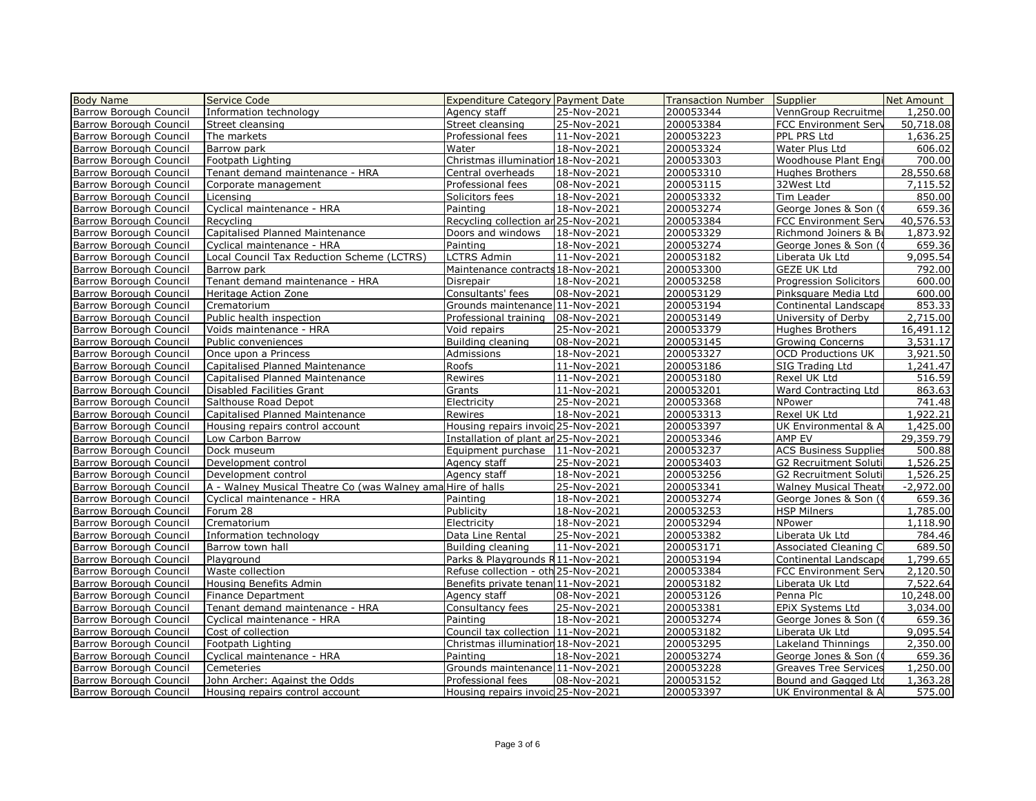| <b>Body Name</b>                                 | Service Code                                                | <b>Expenditure Category Payment Date</b> |             | <b>Transaction Number</b> | Supplier                     | Net Amount  |
|--------------------------------------------------|-------------------------------------------------------------|------------------------------------------|-------------|---------------------------|------------------------------|-------------|
| <b>Barrow Borough Council</b>                    | Information technology                                      | Agency staff                             | 25-Nov-2021 | 200053344                 | VennGroup Recruitmer         | 1,250.00    |
| Barrow Borough Council                           | Street cleansing                                            | Street cleansing                         | 25-Nov-2021 | 200053384                 | <b>FCC Environment Serv</b>  | 50,718.08   |
| Barrow Borough Council                           | The markets                                                 | Professional fees                        | 11-Nov-2021 | 200053223                 | PPL PRS Ltd                  | 1,636.25    |
| Barrow Borough Council                           | Barrow park                                                 | Water                                    | 18-Nov-2021 | 200053324                 | Water Plus Ltd               | 606.02      |
| <b>Barrow Borough Council</b>                    | Footpath Lighting                                           | Christmas illumination 18-Nov-2021       |             | 200053303                 | Woodhouse Plant Engi         | 700.00      |
| Barrow Borough Council                           | Tenant demand maintenance - HRA                             | Central overheads                        | 18-Nov-2021 | 200053310                 | <b>Hughes Brothers</b>       | 28,550.68   |
| <b>Barrow Borough Council</b>                    | Corporate management                                        | Professional fees                        | 08-Nov-2021 | 200053115                 | 32West Ltd                   | 7,115.52    |
| Barrow Borough Council                           | Licensing                                                   | Solicitors fees                          | 18-Nov-2021 | 200053332                 | Tim Leader                   | 850.00      |
| <b>Barrow Borough Council</b>                    | Cyclical maintenance - HRA                                  | Painting                                 | 18-Nov-2021 | 200053274                 | George Jones & Son (0        | 659.36      |
| <b>Barrow Borough Council</b>                    | Recycling                                                   | Recycling collection ar 25-Nov-2021      |             | 200053384                 | FCC Environment Serv         | 40,576.53   |
| <b>Barrow Borough Council</b>                    | Capitalised Planned Maintenance                             | Doors and windows                        | 18-Nov-2021 | 200053329                 | Richmond Joiners & Bu        | 1,873.92    |
| Barrow Borough Council                           | Cyclical maintenance - HRA                                  | Painting                                 | 18-Nov-2021 | 200053274                 | George Jones & Son (0        | 659.36      |
| <b>Barrow Borough Council</b>                    | Local Council Tax Reduction Scheme (LCTRS)                  | LCTRS Admin                              | 11-Nov-2021 | 200053182                 | Liberata Uk Ltd              | 9,095.54    |
| <b>Barrow Borough Council</b>                    | Barrow park                                                 | Maintenance contracts 18-Nov-2021        |             | 200053300                 | <b>GEZE UK Ltd</b>           | 792.00      |
| <b>Barrow Borough Council</b>                    | Tenant demand maintenance - HRA                             | Disrepair                                | 18-Nov-2021 | 200053258                 | Progression Solicitors       | 600.00      |
| <b>Barrow Borough Council</b>                    | Heritage Action Zone                                        | Consultants' fees                        | 08-Nov-2021 | 200053129                 | Pinksquare Media Ltd         | 600.00      |
| <b>Barrow Borough Council</b>                    | Crematorium                                                 | Grounds maintenance 11-Nov-2021          |             | 200053194                 | Continental Landscape        | 853.33      |
| <b>Barrow Borough Council</b>                    | Public health inspection                                    | Professional training                    | 08-Nov-2021 | 200053149                 | University of Derby          | 2,715.00    |
| <b>Barrow Borough Council</b>                    | Voids maintenance - HRA                                     | Void repairs                             | 25-Nov-2021 | 200053379                 | Hughes Brothers              | 16,491.12   |
| Barrow Borough Council                           | Public conveniences                                         | Building cleaning                        | 08-Nov-2021 | 200053145                 | <b>Growing Concerns</b>      | 3,531.17    |
| <b>Barrow Borough Council</b>                    | Once upon a Princess                                        | Admissions                               | 18-Nov-2021 | 200053327                 | <b>OCD Productions UK</b>    | 3,921.50    |
| <b>Barrow Borough Council</b>                    | Capitalised Planned Maintenance                             | Roofs                                    | 11-Nov-2021 | 200053186                 | SIG Trading Ltd              | 1,241.47    |
| Barrow Borough Council                           | Capitalised Planned Maintenance                             | Rewires                                  | 11-Nov-2021 | 200053180                 | Rexel UK Ltd                 | 516.59      |
| Barrow Borough Council                           | <b>Disabled Facilities Grant</b>                            | Grants                                   | 11-Nov-2021 | 200053201                 | Ward Contracting Ltd         | 863.63      |
| Barrow Borough Council                           | Salthouse Road Depot                                        | Electricity                              | 25-Nov-2021 | 200053368                 | NPower                       | 741.48      |
| Barrow Borough Council                           | Capitalised Planned Maintenance                             | Rewires                                  | 18-Nov-2021 | 200053313                 | Rexel UK Ltd                 | 1,922.21    |
| <b>Barrow Borough Council</b>                    | Housing repairs control account                             | Housing repairs invoic 25-Nov-2021       |             | 200053397                 | UK Environmental & A         | 1,425.00    |
| Barrow Borough Council                           | Low Carbon Barrow                                           | Installation of plant an 25-Nov-2021     |             | 200053346                 | AMP EV                       | 29,359.79   |
| <b>Barrow Borough Council</b>                    | Dock museum                                                 | Equipment purchase   11-Nov-2021         |             | 200053237                 | <b>ACS Business Supplies</b> | 500.88      |
| Barrow Borough Council                           | Development control                                         | Agency staff                             | 25-Nov-2021 | 200053403                 | G2 Recruitment Soluti        | 1,526.25    |
| <b>Barrow Borough Council</b>                    | Development control                                         | Agency staff                             | 18-Nov-2021 | 200053256                 | <b>G2 Recruitment Soluti</b> | 1,526.25    |
| Barrow Borough Council                           | A - Walney Musical Theatre Co (was Walney ama Hire of halls |                                          | 25-Nov-2021 | 200053341                 | <b>Walney Musical Theatr</b> | $-2,972.00$ |
| Barrow Borough Council                           | Cyclical maintenance - HRA                                  | Painting                                 | 18-Nov-2021 | 200053274                 | George Jones & Son (0        | 659.36      |
| Barrow Borough Council                           | Forum 28                                                    | Publicity                                | 18-Nov-2021 | 200053253                 | <b>HSP Milners</b>           | 1,785.00    |
| Barrow Borough Council                           | Crematorium                                                 | Electricity                              | 18-Nov-2021 | 200053294                 | <b>NPower</b>                | 1,118.90    |
| Barrow Borough Council                           | Information technology                                      | Data Line Rental                         | 25-Nov-2021 | 200053382                 | Liberata Uk Ltd              | 784.46      |
| Barrow Borough Council                           | Barrow town hall                                            | Building cleaning                        | 11-Nov-2021 | 200053171                 | Associated Cleaning C        | 689.50      |
| Barrow Borough Council                           | Plavaround                                                  | Parks & Playgrounds R11-Nov-2021         |             | 200053194                 | Continental Landscape        | 1,799.65    |
| Barrow Borough Council                           | Waste collection                                            | Refuse collection - oth 25-Nov-2021      |             | 200053384                 | <b>FCC Environment Serv</b>  | 2,120.50    |
| <b>Barrow Borough Council</b>                    | Housing Benefits Admin                                      | Benefits private tenan 11-Nov-2021       |             | 200053182                 | Liberata Uk Ltd              | 7,522.64    |
| <b>Barrow Borough Council</b>                    | <b>Finance Department</b>                                   | Agency staff                             | 08-Nov-2021 | 200053126                 | Penna Plc                    | 10,248.00   |
| Barrow Borough Council                           | Tenant demand maintenance - HRA                             | Consultancy fees                         | 25-Nov-2021 | 200053381                 | EPIX Systems Ltd             | 3,034.00    |
| Barrow Borough Council                           | Cyclical maintenance - HRA                                  | Painting                                 | 18-Nov-2021 | 200053274                 | George Jones & Son (0        | 659.36      |
| <b>Barrow Borough Council</b>                    | Cost of collection                                          | Council tax collection 11-Nov-2021       |             | 200053182                 | Liberata Uk Ltd              | 9,095.54    |
|                                                  | Footpath Lighting                                           | Christmas illumination 18-Nov-2021       |             | 200053295                 |                              | 2,350.00    |
| Barrow Borough Council<br>Barrow Borough Council | Cyclical maintenance - HRA                                  | Painting                                 |             | 200053274                 | Lakeland Thinnings           | 659.36      |
|                                                  |                                                             |                                          | 18-Nov-2021 |                           | George Jones & Son (0        |             |
| Barrow Borough Council                           | Cemeteries                                                  | Grounds maintenance 11-Nov-2021          |             | 200053228                 | <b>Greaves Tree Services</b> | 1,250.00    |
| Barrow Borough Council                           | John Archer: Against the Odds                               | Professional fees                        | 08-Nov-2021 | 200053152                 | Bound and Gagged Ltd         | 1,363.28    |
| Barrow Borough Council                           | Housing repairs control account                             | Housing repairs invoic 25-Nov-2021       |             | 200053397                 | UK Environmental & A         | 575.00      |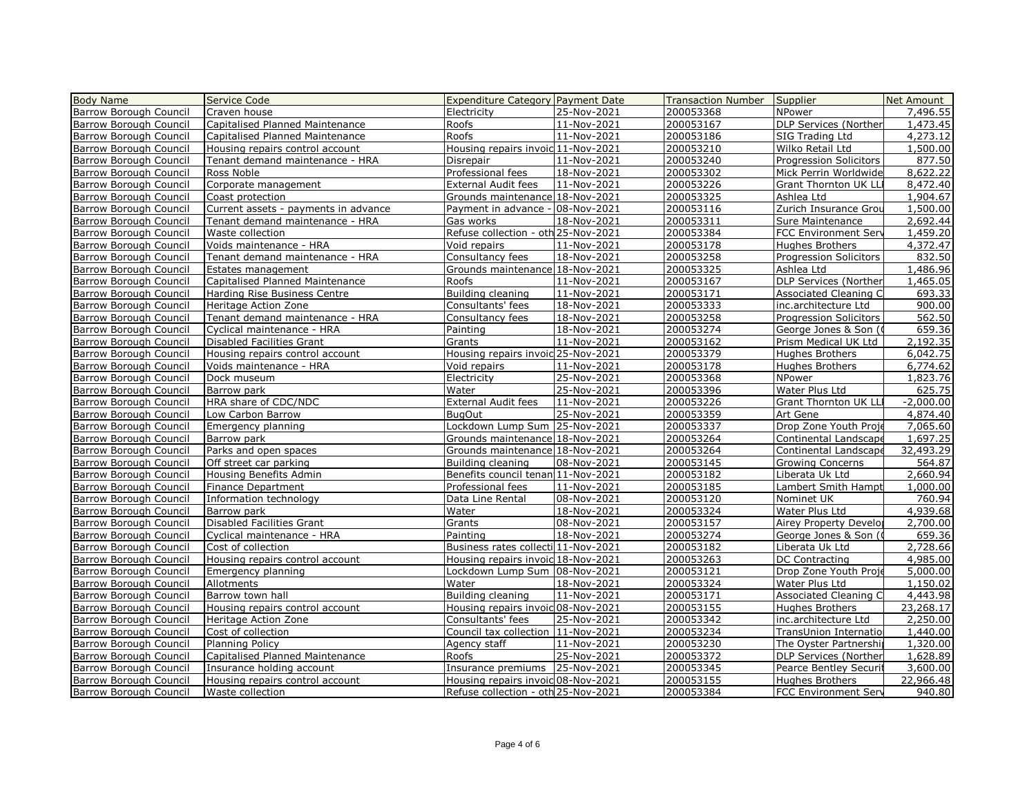| <b>Body Name</b>                                               | Service Code                                                 | <b>Expenditure Category Payment Date</b>                               |             | Transaction Number     | Supplier                                         | Net Amount            |
|----------------------------------------------------------------|--------------------------------------------------------------|------------------------------------------------------------------------|-------------|------------------------|--------------------------------------------------|-----------------------|
| Barrow Borough Council                                         | Craven house                                                 | Electricity                                                            | 25-Nov-2021 | 200053368              | NPower                                           | 7,496.55              |
| Barrow Borough Council                                         | Capitalised Planned Maintenance                              | Roofs                                                                  | 11-Nov-2021 | 200053167              | <b>DLP Services (Norther</b>                     | 1,473.45              |
| Barrow Borough Council                                         | Capitalised Planned Maintenance                              | Roofs                                                                  | 11-Nov-2021 | 200053186              | SIG Trading Ltd                                  | 4,273.12              |
| Barrow Borough Council                                         | Housing repairs control account                              | Housing repairs invoid 11-Nov-2021                                     |             | 200053210              | Wilko Retail Ltd                                 | 1,500.00              |
| <b>Barrow Borough Council</b>                                  | Tenant demand maintenance - HRA                              | Disrepair                                                              | 11-Nov-2021 | 200053240              | Progression Solicitors                           | 877.50                |
| Barrow Borough Council                                         | Ross Noble                                                   | Professional fees                                                      | 18-Nov-2021 | 200053302              | Mick Perrin Worldwide                            | 8,622.22              |
| <b>Barrow Borough Council</b>                                  | Corporate management                                         | <b>External Audit fees</b>                                             | 11-Nov-2021 | 200053226              | <b>Grant Thornton UK LLI</b>                     | 8,472.40              |
| Barrow Borough Council                                         | Coast protection                                             | Grounds maintenance 18-Nov-2021                                        |             | 200053325              | Ashlea Ltd                                       | 1,904.67              |
| <b>Barrow Borough Council</b>                                  | Current assets - payments in advance                         | Payment in advance - 08-Nov-2021                                       |             | 200053116              | Zurich Insurance Grou                            | 1,500.00              |
| <b>Barrow Borough Council</b>                                  | Tenant demand maintenance - HRA                              | Gas works                                                              | 18-Nov-2021 | 200053311              | Sure Maintenance                                 | 2,692.44              |
| <b>Barrow Borough Council</b>                                  | Waste collection                                             | Refuse collection - oth 25-Nov-2021                                    |             | 200053384              | FCC Environment Serv                             | 1,459.20              |
| <b>Barrow Borough Council</b>                                  | Voids maintenance - HRA                                      | Void repairs                                                           | 11-Nov-2021 | 200053178              | Hughes Brothers                                  | 4,372.47              |
| <b>Barrow Borough Council</b>                                  | Tenant demand maintenance - HRA                              | Consultancy fees                                                       | 18-Nov-2021 | 200053258              | Progression Solicitors                           | 832.50                |
| Barrow Borough Council                                         | Estates management                                           | Grounds maintenance 18-Nov-2021                                        |             | 200053325              | Ashlea Ltd                                       | 1,486.96              |
| Barrow Borough Council                                         | Capitalised Planned Maintenance                              | Roofs                                                                  | 11-Nov-2021 | 200053167              | DLP Services (Norther                            | 1,465.05              |
| Barrow Borough Council                                         | Harding Rise Business Centre                                 | Building cleaning                                                      | 11-Nov-2021 | 200053171              | <b>Associated Cleaning C</b>                     | 693.33                |
| <b>Barrow Borough Council</b>                                  | Heritage Action Zone                                         | Consultants' fees                                                      | 18-Nov-2021 | 200053333              | inc.architecture Ltd                             | 900.00                |
| <b>Barrow Borough Council</b>                                  | Tenant demand maintenance - HRA                              | Consultancy fees                                                       | 18-Nov-2021 | 200053258              | <b>Progression Solicitors</b>                    | 562.50                |
| Barrow Borough Council                                         | Cyclical maintenance - HRA                                   | Painting                                                               | 18-Nov-2021 | 200053274              | George Jones & Son (0                            | 659.36                |
| Barrow Borough Council                                         | Disabled Facilities Grant                                    | Grants                                                                 | 11-Nov-2021 | 200053162              | Prism Medical UK Ltd                             | 2,192.35              |
| Barrow Borough Council                                         | Housing repairs control account                              | Housing repairs invoid 25-Nov-2021                                     |             | 200053379              | Hughes Brothers                                  | 6,042.75              |
| Barrow Borough Council                                         | Voids maintenance - HRA                                      | Void repairs                                                           | 11-Nov-2021 | 200053178              | Hughes Brothers                                  | 6,774.62              |
| Barrow Borough Council                                         | Dock museum                                                  | Electricity                                                            | 25-Nov-2021 | 200053368              | NPower                                           | 1,823.76              |
| Barrow Borough Council                                         | Barrow park                                                  | Water                                                                  | 25-Nov-2021 | 200053396              | Water Plus Ltd                                   | 625.75                |
| <b>Barrow Borough Council</b>                                  | HRA share of CDC/NDC                                         | External Audit fees                                                    | 11-Nov-2021 | 200053226              | Grant Thornton UK LLI                            | $-2,000.00$           |
| Barrow Borough Council                                         | Low Carbon Barrow                                            | <b>BugOut</b>                                                          | 25-Nov-2021 | 200053359              | Art Gene                                         | 4,874.40              |
| Barrow Borough Council                                         | Emergency planning                                           | Lockdown Lump Sum 25-Nov-2021                                          |             | 200053337              | Drop Zone Youth Proje                            | 7.065.60              |
| Barrow Borough Council                                         | Barrow park                                                  | Grounds maintenance 18-Nov-2021                                        |             | 200053264              | Continental Landscape                            | 1,697.25              |
| <b>Barrow Borough Council</b>                                  | Parks and open spaces                                        | Grounds maintenance 18-Nov-2021                                        |             | 200053264              | Continental Landscape                            | 32,493.29             |
| Barrow Borough Council                                         | Off street car parking                                       | Building cleaning                                                      | 08-Nov-2021 | 200053145              | <b>Growing Concerns</b>                          | 564.87                |
| Barrow Borough Council                                         | Housing Benefits Admin                                       | Benefits council tenan 11-Nov-2021                                     |             | 200053182              | Liberata Uk Ltd                                  | 2,660.94              |
| Barrow Borough Council                                         | Finance Department                                           | Professional fees                                                      | 11-Nov-2021 | 200053185              | Lambert Smith Hampt                              | 1,000.00              |
| Barrow Borough Council                                         | Information technology                                       | Data Line Rental                                                       | 08-Nov-2021 | 200053120              | Nominet UK                                       | 760.94                |
| Barrow Borough Council                                         | Barrow park                                                  | Water                                                                  | 18-Nov-2021 | 200053324              | Water Plus Ltd                                   | 4,939.68              |
| <b>Barrow Borough Council</b>                                  | <b>Disabled Facilities Grant</b>                             | Grants                                                                 | 08-Nov-2021 | 200053157              | Airey Property Develor                           | 2,700.00              |
| Barrow Borough Council                                         | Cyclical maintenance - HRA                                   | Painting                                                               | 18-Nov-2021 | 200053274              | George Jones & Son (0                            | 659.36                |
| Barrow Borough Council                                         | Cost of collection                                           | Business rates collecti 11-Nov-2021                                    |             | 200053182              | Liberata Uk Ltd                                  | 2,728.66              |
| Barrow Borough Council                                         | Housing repairs control account                              | Housing repairs invoic 18-Nov-2021                                     |             | 200053263              | DC Contracting                                   | 4,985.00              |
| <b>Barrow Borough Council</b>                                  | Emergency planning                                           | Lockdown Lump Sum 08-Nov-2021                                          |             | 200053121              | Drop Zone Youth Proje                            | 5,000.00              |
| Barrow Borough Council                                         | Allotments                                                   | Water                                                                  | 18-Nov-2021 | 200053324              | Water Plus Ltd                                   | 1,150.02              |
| Barrow Borough Council                                         | Barrow town hall                                             | Building cleaning                                                      | 11-Nov-2021 | 200053171              | <b>Associated Cleaning C</b>                     | 4,443.98              |
| <b>Barrow Borough Council</b>                                  | Housing repairs control account                              | Housing repairs invoid 08-Nov-2021                                     |             | 200053155              | Hughes Brothers                                  | 23,268.17             |
| <b>Barrow Borough Council</b>                                  | Heritage Action Zone                                         | Consultants' fees                                                      | 25-Nov-2021 | 200053342              | inc.architecture Ltd                             | 2,250.00              |
| Barrow Borough Council                                         |                                                              |                                                                        |             |                        |                                                  |                       |
| Barrow Borough Council                                         |                                                              |                                                                        |             |                        |                                                  |                       |
|                                                                | Cost of collection                                           | Council tax collection 11-Nov-2021                                     |             | 200053234              | TransUnion Internatiol                           | 1,440.00              |
|                                                                | <b>Planning Policy</b>                                       | Agency staff                                                           | 11-Nov-2021 | 200053230              | The Oyster Partnership                           | 1,320.00              |
| Barrow Borough Council                                         | Capitalised Planned Maintenance                              | Roofs                                                                  | 25-Nov-2021 | 200053372              | <b>DLP Services (Norther</b>                     | 1,628.89              |
| <b>Barrow Borough Council</b><br><b>Barrow Borough Council</b> | Insurance holding account<br>Housing repairs control account | Insurance premiums   25-Nov-2021<br>Housing repairs invoic 08-Nov-2021 |             | 200053345<br>200053155 | <b>Pearce Bentley Securit</b><br>Hughes Brothers | 3,600.00<br>22,966.48 |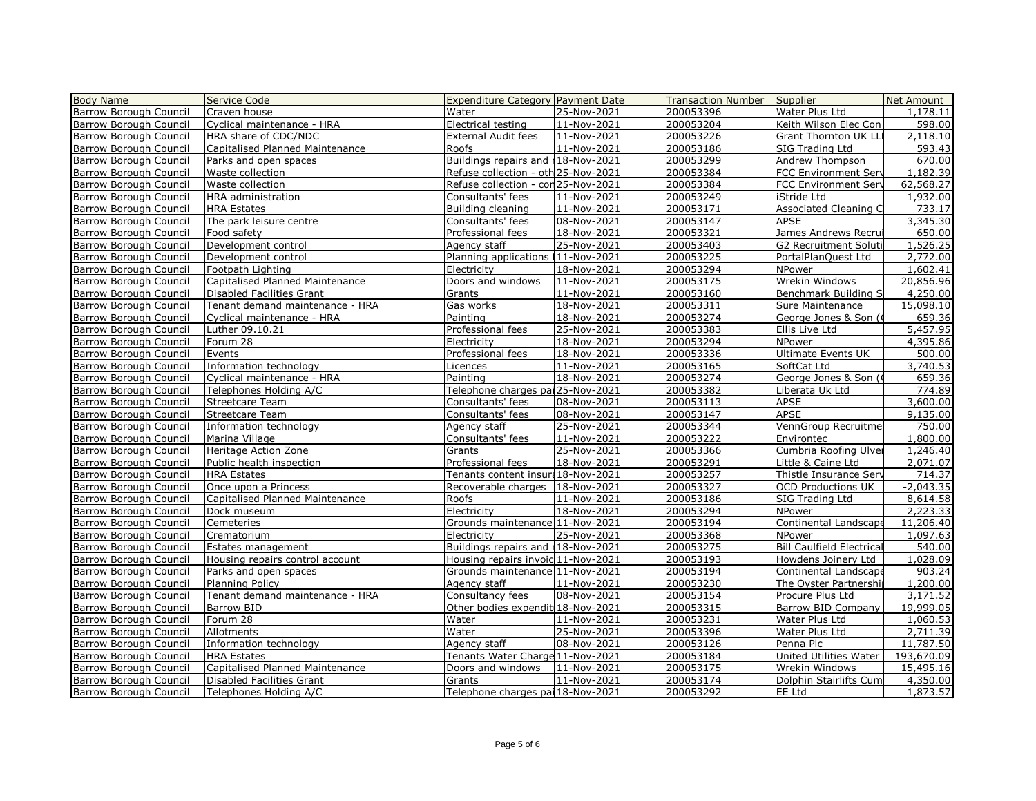| <b>Body Name</b>              | Service Code                    | <b>Expenditure Category Payment Date</b> |             | <b>Transaction Number</b> | Supplier                         | Net Amount  |
|-------------------------------|---------------------------------|------------------------------------------|-------------|---------------------------|----------------------------------|-------------|
| Barrow Borough Council        | Craven house                    | Water                                    | 25-Nov-2021 | 200053396                 | Water Plus Ltd                   | 1,178.11    |
| Barrow Borough Council        | Cyclical maintenance - HRA      | Electrical testing                       | 11-Nov-2021 | 200053204                 | Keith Wilson Elec Con            | 598.00      |
| Barrow Borough Council        | HRA share of CDC/NDC            | <b>External Audit fees</b>               | 11-Nov-2021 | 200053226                 | <b>Grant Thornton UK LLI</b>     | 2,118.10    |
| Barrow Borough Council        | Capitalised Planned Maintenance | Roofs                                    | 11-Nov-2021 | 200053186                 | SIG Trading Ltd                  | 593.43      |
| Barrow Borough Council        | Parks and open spaces           | Buildings repairs and 118-Nov-2021       |             | 200053299                 | Andrew Thompson                  | 670.00      |
| Barrow Borough Council        | Waste collection                | Refuse collection - oth 25-Nov-2021      |             | 200053384                 | <b>FCC Environment Serv</b>      | 1,182.39    |
| <b>Barrow Borough Council</b> | Waste collection                | Refuse collection - con 25-Nov-2021      |             | 200053384                 | <b>FCC Environment Serv</b>      | 62,568.27   |
| Barrow Borough Council        | HRA administration              | Consultants' fees                        | 11-Nov-2021 | 200053249                 | iStride Ltd                      | 1,932.00    |
| Barrow Borough Council        | <b>HRA Estates</b>              | Building cleaning                        | 11-Nov-2021 | 200053171                 | Associated Cleaning C            | 733.17      |
| Barrow Borough Council        | The park leisure centre         | Consultants' fees                        | 08-Nov-2021 | 200053147                 | APSE                             | 3,345.30    |
| Barrow Borough Council        | Food safety                     | Professional fees                        | 18-Nov-2021 | 200053321                 | James Andrews Recrui             | 650.00      |
| Barrow Borough Council        | Development control             | Agency staff                             | 25-Nov-2021 | 200053403                 | G2 Recruitment Soluti            | 1,526.25    |
| <b>Barrow Borough Council</b> | Development control             | Planning applications 111-Nov-2021       |             | 200053225                 | PortalPlanQuest Ltd              | 2,772.00    |
| Barrow Borough Council        | Footpath Lighting               | Electricity                              | 18-Nov-2021 | 200053294                 | NPower                           | 1,602.41    |
| <b>Barrow Borough Council</b> | Capitalised Planned Maintenance | Doors and windows                        | 11-Nov-2021 | 200053175                 | Wrekin Windows                   | 20,856.96   |
| Barrow Borough Council        | Disabled Facilities Grant       | Grants                                   | 11-Nov-2021 | 200053160                 | Benchmark Building S             | 4,250.00    |
| <b>Barrow Borough Council</b> | Tenant demand maintenance - HRA | Gas works                                | 18-Nov-2021 | 200053311                 | Sure Maintenance                 | 15,098.10   |
| <b>Barrow Borough Council</b> | Cyclical maintenance - HRA      | Painting                                 | 18-Nov-2021 | 200053274                 | George Jones & Son ((            | 659.36      |
| Barrow Borough Council        | Luther 09.10.21                 | Professional fees                        | 25-Nov-2021 | 200053383                 | Ellis Live Ltd                   | 5,457.95    |
| <b>Barrow Borough Council</b> | Forum 28                        | Electricity                              | 18-Nov-2021 | 200053294                 | NPower                           | 4,395.86    |
| Barrow Borough Council        | Events                          | Professional fees                        | 18-Nov-2021 | 200053336                 | <b>Ultimate Events UK</b>        | 500.00      |
| Barrow Borough Council        | Information technology          | Licences                                 | 11-Nov-2021 | 200053165                 | SoftCat Ltd                      | 3,740.53    |
| Barrow Borough Council        | Cyclical maintenance - HRA      | Painting                                 | 18-Nov-2021 | 200053274                 | George Jones & Son (0            | 659.36      |
| Barrow Borough Council        | Telephones Holding A/C          | Telephone charges pai 25-Nov-2021        |             | 200053382                 | Liberata Uk Ltd                  | 774.89      |
| Barrow Borough Council        | <b>Streetcare Team</b>          | Consultants' fees                        | 08-Nov-2021 | 200053113                 | APSE                             | 3,600.00    |
| Barrow Borough Council        | <b>Streetcare Team</b>          | Consultants' fees                        | 08-Nov-2021 | 200053147                 | APSE                             | 9,135.00    |
| Barrow Borough Council        | Information technology          | Agency staff                             | 25-Nov-2021 | 200053344                 | VennGroup Recruitmer             | 750.00      |
| Barrow Borough Council        | Marina Village                  | Consultants' fees                        | 11-Nov-2021 | 200053222                 | Environtec                       | 1,800.00    |
| Barrow Borough Council        | Heritage Action Zone            | Grants                                   | 25-Nov-2021 | 200053366                 | Cumbria Roofing Ulver            | 1,246.40    |
| Barrow Borough Council        | Public health inspection        | Professional fees                        | 18-Nov-2021 | 200053291                 | Little & Caine Ltd               | 2,071.07    |
| Barrow Borough Council        | <b>HRA Estates</b>              | Tenants content insur: 18-Nov-2021       |             | 200053257                 | Thistle Insurance Serv           | 714.37      |
| Barrow Borough Council        | Once upon a Princess            | Recoverable charges                      | 18-Nov-2021 | 200053327                 | <b>OCD Productions UK</b>        | $-2,043.35$ |
| Barrow Borough Council        | Capitalised Planned Maintenance | Roofs                                    | 11-Nov-2021 | 200053186                 | SIG Trading Ltd                  | 8,614.58    |
| <b>Barrow Borough Council</b> | Dock museum                     | Electricity                              | 18-Nov-2021 | 200053294                 | <b>NPower</b>                    | 2,223.33    |
| <b>Barrow Borough Council</b> | Cemeteries                      | Grounds maintenance 11-Nov-2021          |             | 200053194                 | Continental Landscape            | 11,206.40   |
| Barrow Borough Council        | Crematorium                     | Electricity                              | 25-Nov-2021 | 200053368                 | NPower                           | 1,097.63    |
| <b>Barrow Borough Council</b> | Estates management              | Buildings repairs and 18-Nov-2021        |             | 200053275                 | <b>Bill Caulfield Electrical</b> | 540.00      |
| Barrow Borough Council        | Housing repairs control account | Housing repairs invoic 11-Nov-2021       |             | 200053193                 | Howdens Joinery Ltd              | 1,028.09    |
| <b>Barrow Borough Council</b> | Parks and open spaces           | Grounds maintenance 11-Nov-2021          |             | 200053194                 | Continental Landscape            | 903.24      |
| Barrow Borough Council        | <b>Planning Policy</b>          | Agency staff                             | 11-Nov-2021 | 200053230                 | The Oyster Partnership           | 1,200.00    |
| Barrow Borough Council        | Tenant demand maintenance - HRA | Consultancy fees                         | 08-Nov-2021 | 200053154                 | Procure Plus Ltd                 | 3,171.52    |
| Barrow Borough Council        | Barrow BID                      | Other bodies expendit 18-Nov-2021        |             | 200053315                 | Barrow BID Company               | 19,999.05   |
| Barrow Borough Council        | Forum 28                        | Water                                    | 11-Nov-2021 | 200053231                 | Water Plus Ltd                   | 1,060.53    |
| <b>Barrow Borough Council</b> | Allotments                      | Water                                    | 25-Nov-2021 | 200053396                 | Water Plus Ltd                   | 2,711.39    |
| Barrow Borough Council        | Information technology          | Agency staff                             | 08-Nov-2021 | 200053126                 | Penna Plc                        | 11,787.50   |
| <b>Barrow Borough Council</b> | <b>HRA Estates</b>              | Tenants Water Charge 11-Nov-2021         |             | 200053184                 | United Utilities Water           | 193,670.09  |
| Barrow Borough Council        | Capitalised Planned Maintenance | Doors and windows                        | 11-Nov-2021 | 200053175                 | Wrekin Windows                   | 15,495.16   |
| Barrow Borough Council        | Disabled Facilities Grant       | Grants                                   | 11-Nov-2021 | 200053174                 | Dolphin Stairlifts Cum           | 4,350.00    |
| Barrow Borough Council        | Telephones Holding A/C          | Telephone charges pai 18-Nov-2021        |             | 200053292                 | EE Ltd                           | 1,873.57    |